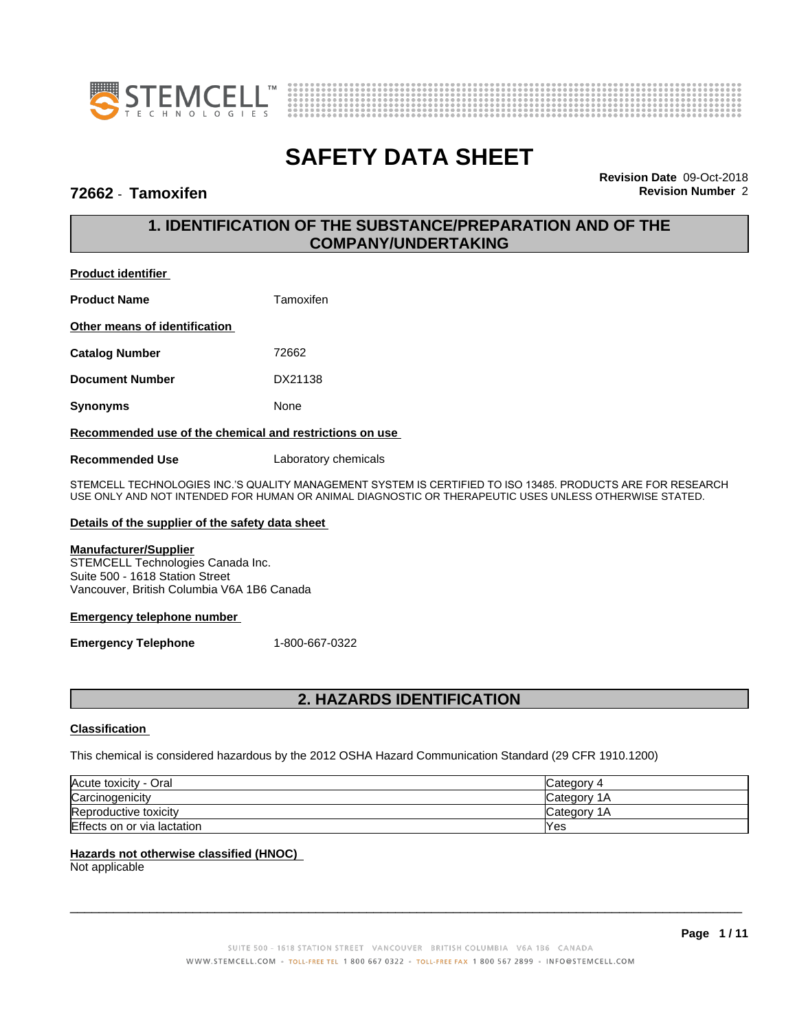



### **72662** - **Tamoxifen Revision Number** 2

**Revision Date** 09-Oct-2018

# **1. IDENTIFICATION OF THE SUBSTANCE/PREPARATION AND OF THE COMPANY/UNDERTAKING**

# **Product identifier Product Name** Tamoxifen **Other means of identification Catalog Number** 72662 **Document Number** DX21138 **Synonyms** None

### **Recommended use of the chemical and restrictions on use**

**Recommended Use** Laboratory chemicals

STEMCELL TECHNOLOGIES INC.'S QUALITY MANAGEMENT SYSTEM IS CERTIFIED TO ISO 13485. PRODUCTS ARE FOR RESEARCH USE ONLY AND NOT INTENDED FOR HUMAN OR ANIMAL DIAGNOSTIC OR THERAPEUTIC USES UNLESS OTHERWISE STATED.

### **Details of the supplier of the safety data sheet**

### **Manufacturer/Supplier**

STEMCELL Technologies Canada Inc. Suite 500 - 1618 Station Street Vancouver, British Columbia V6A 1B6 Canada

### **Emergency telephone number**

**Emergency Telephone** 1-800-667-0322

# **2. HAZARDS IDENTIFICATION**

### **Classification**

This chemical is considered hazardous by the 2012 OSHA Hazard Communication Standard (29 CFR 1910.1200)

| Acute toxicity - Oral       | Category 4       |
|-----------------------------|------------------|
| Carcinogenicity             | Category 1<br>1Α |
| Reproductive toxicity       | Category 1<br>1Α |
| Effects on or via lactation | Yes              |

### **Hazards not otherwise classified (HNOC)**

Not applicable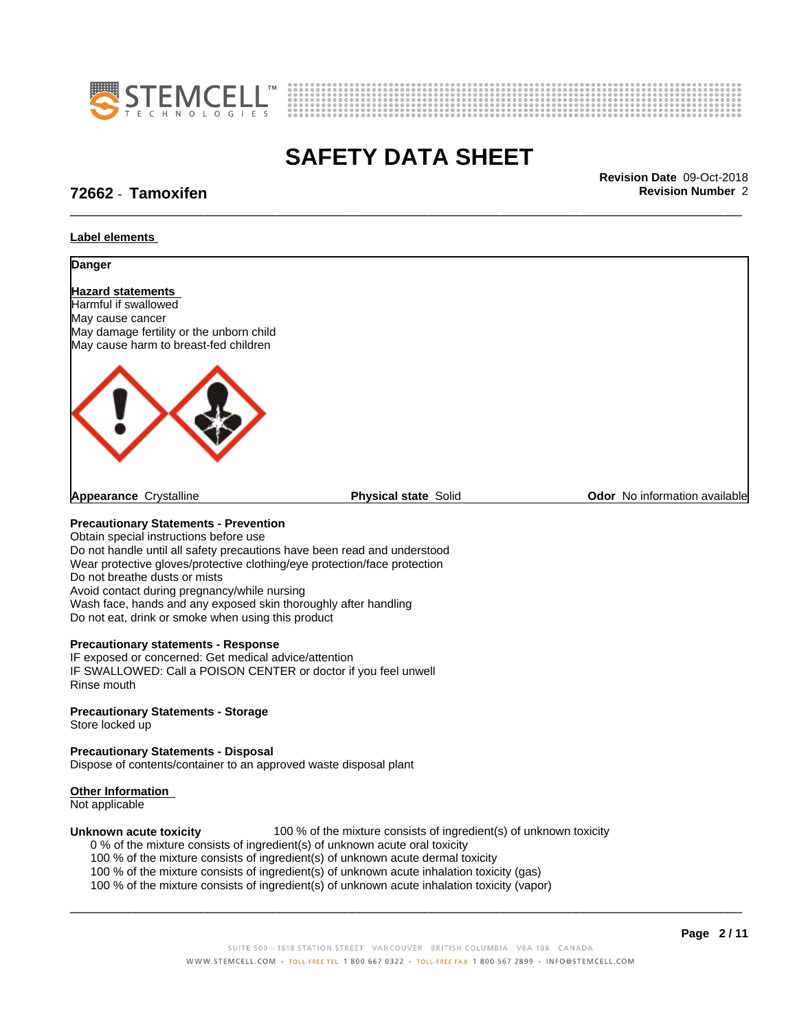



### **72662** - **Tamoxifen Revision Number** 2

\_\_\_\_\_\_\_\_\_\_\_\_\_\_\_\_\_\_\_\_\_\_\_\_\_\_\_\_\_\_\_\_\_\_\_\_\_\_\_\_\_\_\_\_\_\_\_\_\_\_\_\_\_\_\_\_\_\_\_\_\_\_\_\_\_\_\_\_\_\_\_\_\_\_\_\_\_\_\_\_\_\_\_\_\_\_\_\_\_\_\_\_\_ **Revision Date** 09-Oct-2018

#### **Label elements**



Do not handle until all safety precautions have been read and understood Wear protective gloves/protective clothing/eye protection/face protection Do not breathe dusts or mists Avoid contact during pregnancy/while nursing Wash face, hands and any exposed skin thoroughly after handling Do not eat, drink or smoke when using this product

#### **Precautionary statements - Response**

IF exposed or concerned: Get medical advice/attention IF SWALLOWED: Call a POISON CENTER or doctor if you feel unwell Rinse mouth

### **Precautionary Statements - Storage**

Store locked up

### **Precautionary Statements - Disposal**

Dispose of contents/container to an approved waste disposal plant

#### **Other Information**

Not applicable

**Unknown acute toxicity** 100 % of the mixture consists of ingredient(s) of unknown toxicity

0 % of the mixture consists of ingredient(s) of unknown acute oral toxicity

100 % of the mixture consists of ingredient(s) of unknown acute dermal toxicity

100 % of the mixture consists of ingredient(s) of unknown acute inhalation toxicity (gas)

100 % of the mixture consists of ingredient(s) of unknown acute inhalation toxicity (vapor)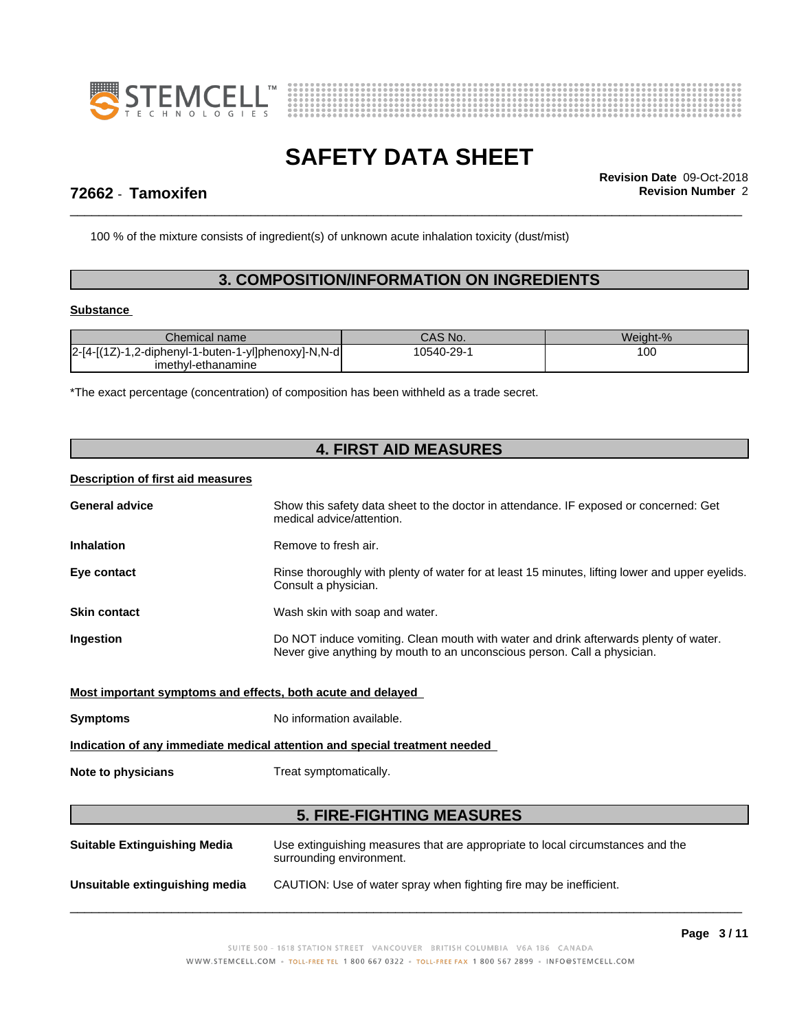



\_\_\_\_\_\_\_\_\_\_\_\_\_\_\_\_\_\_\_\_\_\_\_\_\_\_\_\_\_\_\_\_\_\_\_\_\_\_\_\_\_\_\_\_\_\_\_\_\_\_\_\_\_\_\_\_\_\_\_\_\_\_\_\_\_\_\_\_\_\_\_\_\_\_\_\_\_\_\_\_\_\_\_\_\_\_\_\_\_\_\_\_\_ **Revision Date** 09-Oct-2018

# **72662** - **Tamoxifen Revision Number** 2

100 % of the mixture consists of ingredient(s) of unknown acute inhalation toxicity (dust/mist)

# **3. COMPOSITION/INFORMATION ON INGREDIENTS**

### **Substance**

| Chemical name                                                | CAS No.        | Weight-% |
|--------------------------------------------------------------|----------------|----------|
| l2-[4-[(1Z)-1.2-<br>1,2-diphenyl-1-buten-1-yl]phenoxy]-N,N-d | $10540 - 29 -$ | 100      |
| imethyl-ethanamine                                           |                |          |

\*The exact percentage (concentration) of composition has been withheld as a trade secret.

| <b>4. FIRST AID MEASURES</b>                                |                                                                                                                                                                  |  |  |  |
|-------------------------------------------------------------|------------------------------------------------------------------------------------------------------------------------------------------------------------------|--|--|--|
| <b>Description of first aid measures</b>                    |                                                                                                                                                                  |  |  |  |
| <b>General advice</b>                                       | Show this safety data sheet to the doctor in attendance. IF exposed or concerned: Get<br>medical advice/attention.                                               |  |  |  |
| <b>Inhalation</b>                                           | Remove to fresh air.                                                                                                                                             |  |  |  |
| Eye contact                                                 | Rinse thoroughly with plenty of water for at least 15 minutes, lifting lower and upper eyelids.<br>Consult a physician.                                          |  |  |  |
| <b>Skin contact</b>                                         | Wash skin with soap and water.                                                                                                                                   |  |  |  |
| Ingestion                                                   | Do NOT induce vomiting. Clean mouth with water and drink afterwards plenty of water.<br>Never give anything by mouth to an unconscious person. Call a physician. |  |  |  |
| Most important symptoms and effects, both acute and delayed |                                                                                                                                                                  |  |  |  |
| <b>Symptoms</b>                                             | No information available.                                                                                                                                        |  |  |  |
|                                                             | Indication of any immediate medical attention and special treatment needed                                                                                       |  |  |  |
| Note to physicians                                          | Treat symptomatically.                                                                                                                                           |  |  |  |
|                                                             | <b>5. FIRE-FIGHTING MEASURES</b>                                                                                                                                 |  |  |  |
| <b>Suitable Extinguishing Media</b>                         | Use extinguishing measures that are appropriate to local circumstances and the<br>surrounding environment.                                                       |  |  |  |
| Unsuitable extinguishing media                              | CAUTION: Use of water spray when fighting fire may be inefficient.                                                                                               |  |  |  |
|                                                             |                                                                                                                                                                  |  |  |  |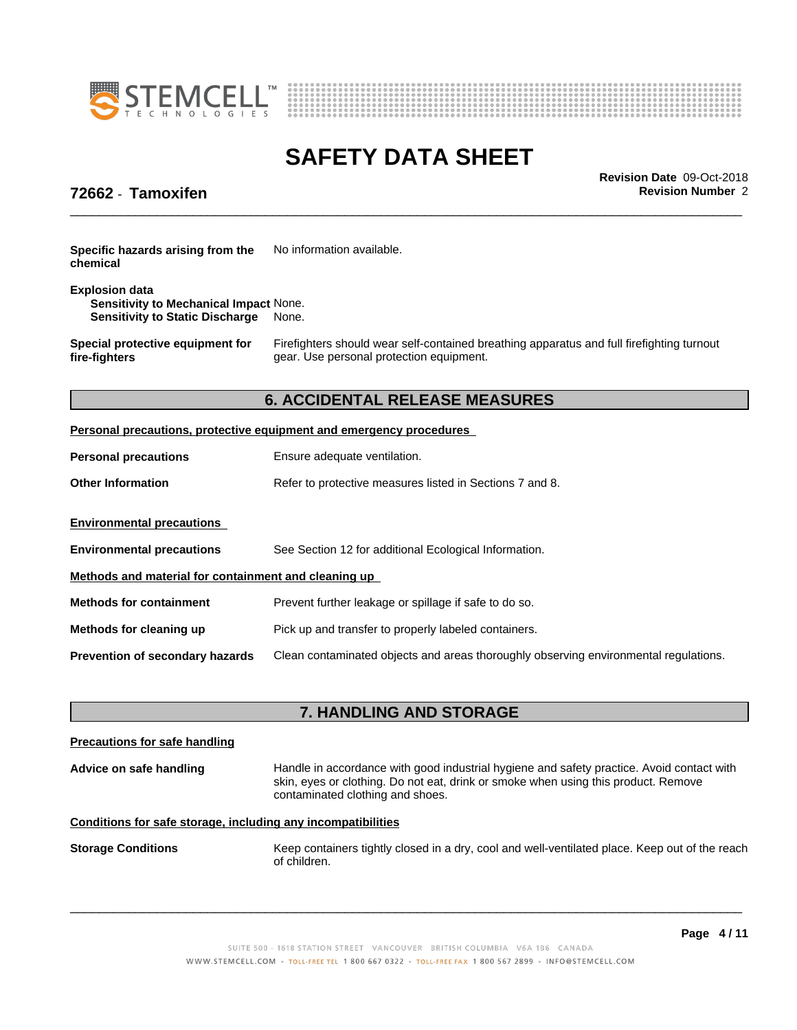



\_\_\_\_\_\_\_\_\_\_\_\_\_\_\_\_\_\_\_\_\_\_\_\_\_\_\_\_\_\_\_\_\_\_\_\_\_\_\_\_\_\_\_\_\_\_\_\_\_\_\_\_\_\_\_\_\_\_\_\_\_\_\_\_\_\_\_\_\_\_\_\_\_\_\_\_\_\_\_\_\_\_\_\_\_\_\_\_\_\_\_\_\_ **Revision Date** 09-Oct-2018

# **72662** - **Tamoxifen Revision Number** 2

| Specific hazards arising from the | No information available. |
|-----------------------------------|---------------------------|
| chemical                          |                           |

#### **Explosion data Sensitivity to Mechanical Impact** None. **Sensitivity to Static Discharge** None.

**Special protective equipment for fire-fighters**

Firefighters should wear self-contained breathing apparatus and full firefighting turnout gear. Use personal protection equipment.

# **6. ACCIDENTAL RELEASE MEASURES**

### **Personal precautions, protective equipment and emergency procedures**

| <b>Personal precautions</b>                          | Ensure adequate ventilation.                                                         |  |  |  |
|------------------------------------------------------|--------------------------------------------------------------------------------------|--|--|--|
| <b>Other Information</b>                             | Refer to protective measures listed in Sections 7 and 8.                             |  |  |  |
| <b>Environmental precautions</b>                     |                                                                                      |  |  |  |
| <b>Environmental precautions</b>                     | See Section 12 for additional Ecological Information.                                |  |  |  |
| Methods and material for containment and cleaning up |                                                                                      |  |  |  |
| <b>Methods for containment</b>                       | Prevent further leakage or spillage if safe to do so.                                |  |  |  |
| Methods for cleaning up                              | Pick up and transfer to properly labeled containers.                                 |  |  |  |
| <b>Prevention of secondary hazards</b>               | Clean contaminated objects and areas thoroughly observing environmental regulations. |  |  |  |

# **7. HANDLING AND STORAGE**

| Handle in accordance with good industrial hygiene and safety practice. Avoid contact with<br>skin, eyes or clothing. Do not eat, drink or smoke when using this product. Remove<br>contaminated clothing and shoes. |
|---------------------------------------------------------------------------------------------------------------------------------------------------------------------------------------------------------------------|
|                                                                                                                                                                                                                     |
| Keep containers tightly closed in a dry, cool and well-ventilated place. Keep out of the reach                                                                                                                      |
|                                                                                                                                                                                                                     |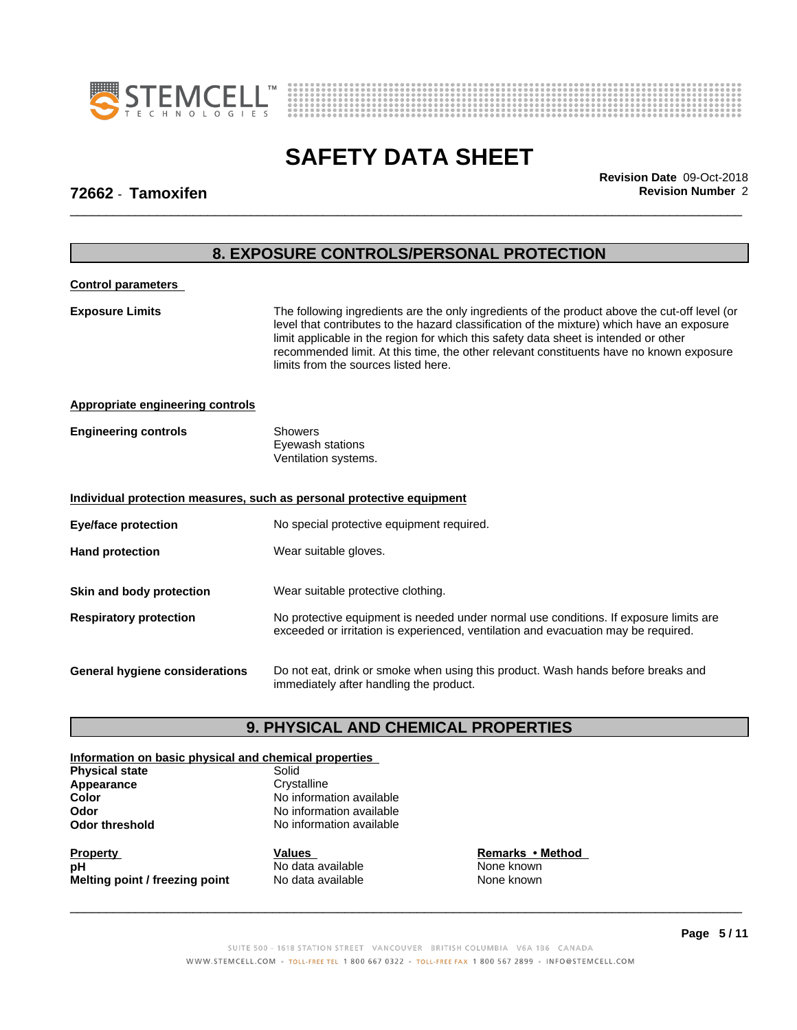



**8. EXPOSURE CONTROLS/PERSONAL PROTECTION**

\_\_\_\_\_\_\_\_\_\_\_\_\_\_\_\_\_\_\_\_\_\_\_\_\_\_\_\_\_\_\_\_\_\_\_\_\_\_\_\_\_\_\_\_\_\_\_\_\_\_\_\_\_\_\_\_\_\_\_\_\_\_\_\_\_\_\_\_\_\_\_\_\_\_\_\_\_\_\_\_\_\_\_\_\_\_\_\_\_\_\_\_\_ **Revision Date** 09-Oct-2018

### **72662** - **Tamoxifen Revision Number** 2

# **Control parameters Exposure Limits** The following ingredients are the only ingredients of the product above the cut-off level (or level that contributes to the hazard classification of the mixture) which have an exposure limit applicable in the region for which this safety data sheet is intended or other recommended limit. At this time, the other relevant constituents have no known exposure limits from the sources listed here.**Appropriate engineering controls Engineering controls** Showers Eyewash stations Ventilation systems. **Individual protection measures, such as personal protective equipment Eye/face protection** No special protective equipment required. **Hand protection** Wear suitable gloves. **Skin and body protection** Wear suitable protective clothing. **Respiratory protection** No protective equipment is needed under normal use conditions. If exposure limits are exceeded or irritation is experienced, ventilation and evacuation may be required. **General hygiene considerations** Do not eat, drink or smoke when using this product. Wash hands before breaks and immediately after handling the product.

### **9. PHYSICAL AND CHEMICAL PROPERTIES**

#### **Information on basic physical and chemical properties Physical state** Solid

| <b>ΓΙΙΥΘΙΦΑΙ ΘΙΑΙ</b> Ε | oviiu                    |  |
|-------------------------|--------------------------|--|
| Appearance              | Crystalline              |  |
| Color                   | No information available |  |
| Odor                    | No information available |  |
| <b>Odor threshold</b>   | No information available |  |
|                         |                          |  |

**Property**<br> **Remarks** • Method<br> **Remarks** • Method<br> **Remarks** • Method<br> **Remarks** • Method<br> **Remarks** • Method **pH** No data available Nown<br> **Melting point / freezing point** No data available None Known<br>
None known **Melting point / freezing point**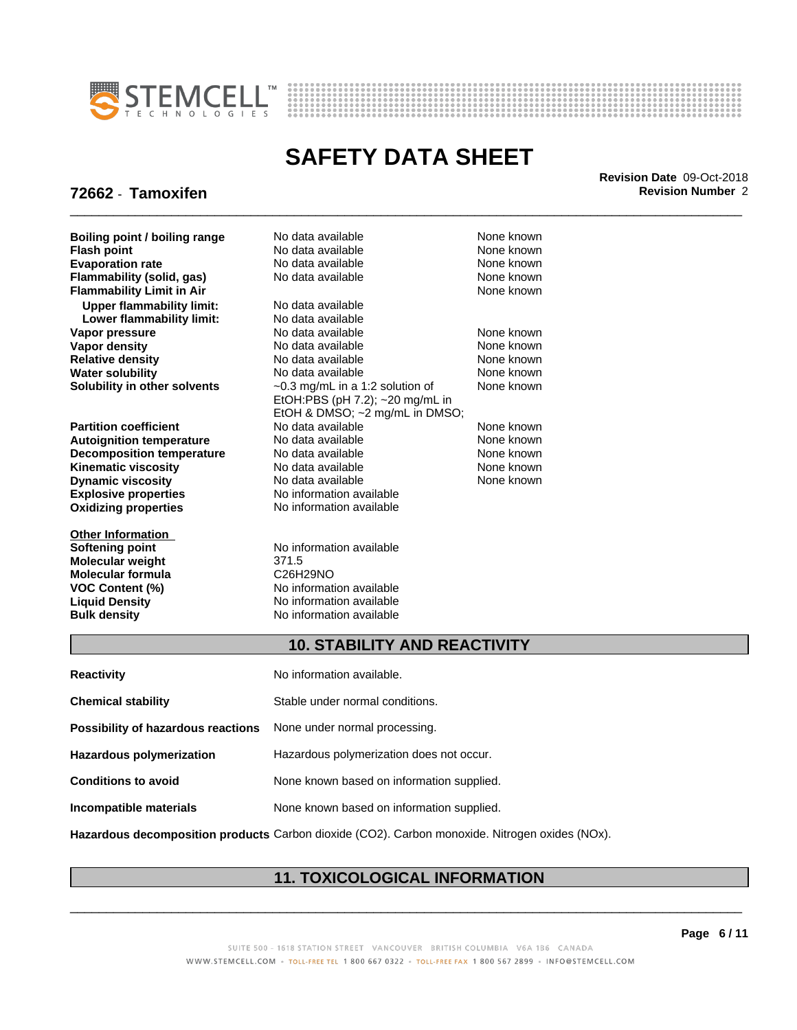



\_\_\_\_\_\_\_\_\_\_\_\_\_\_\_\_\_\_\_\_\_\_\_\_\_\_\_\_\_\_\_\_\_\_\_\_\_\_\_\_\_\_\_\_\_\_\_\_\_\_\_\_\_\_\_\_\_\_\_\_\_\_\_\_\_\_\_\_\_\_\_\_\_\_\_\_\_\_\_\_\_\_\_\_\_\_\_\_\_\_\_\_\_ **Revision Date** 09-Oct-2018

# **72662** - **Tamoxifen Revision Number** 2

**Boiling point / boiling range Modata available None known None known Flammability** (solid, gas) **Upper flammability limit:** No data available **Lower flammability limit:** No data available **Water solubility** 

**Explosive properties** No information available **Oxidizing properties** No information available **Decomposition temperature** 

**Other Information Softening point** No information available **Molecular weight** 371.5 **Molecular** formula

**Flash point No data available None known Evaporation rate Conservential School** None and None known<br> **Flammability (solid. gas)** No data available **None known** None known **Flammability Limit in Air** None known **Vapor pressure No data available None known Vapor density**<br> **Vapor density**<br> **Relative density**<br>
No data available<br>
None known **Relative density No data available and the Shown**<br> **Water solubility No data available and the None known Solubility in other solvents** ~0.3 mg/mL in a 1:2 solution of EtOH:PBS (pH 7.2); ~20 mg/mL in EtOH & DMSO; ~2 mg/mL in DMSO; **Partition coefficient**<br> **Autoignition temperature**<br>
No data available None None known<br>
None known **Autoignition temperature** Mo data available Mone known<br> **Decomposition temperature** No data available None known **Kinematic viscosity No data available None known** None known **Dynamic viscosity No data available None known** 

**VOC Content (%)** No information available **Liquid Density No information available**<br> **Bulk density No information available No information available** 

None known

### **10. STABILITY AND REACTIVITY**

| <b>Reactivity</b>                                                       | No information available.                 |
|-------------------------------------------------------------------------|-------------------------------------------|
| <b>Chemical stability</b>                                               | Stable under normal conditions.           |
| <b>Possibility of hazardous reactions</b> None under normal processing. |                                           |
| <b>Hazardous polymerization</b>                                         | Hazardous polymerization does not occur.  |
| <b>Conditions to avoid</b>                                              | None known based on information supplied. |
| Incompatible materials                                                  | None known based on information supplied. |
|                                                                         |                                           |

**Hazardous decomposition products** Carbon dioxide (CO2). Carbon monoxide. Nitrogen oxides (NOx).

# **11. TOXICOLOGICAL INFORMATION**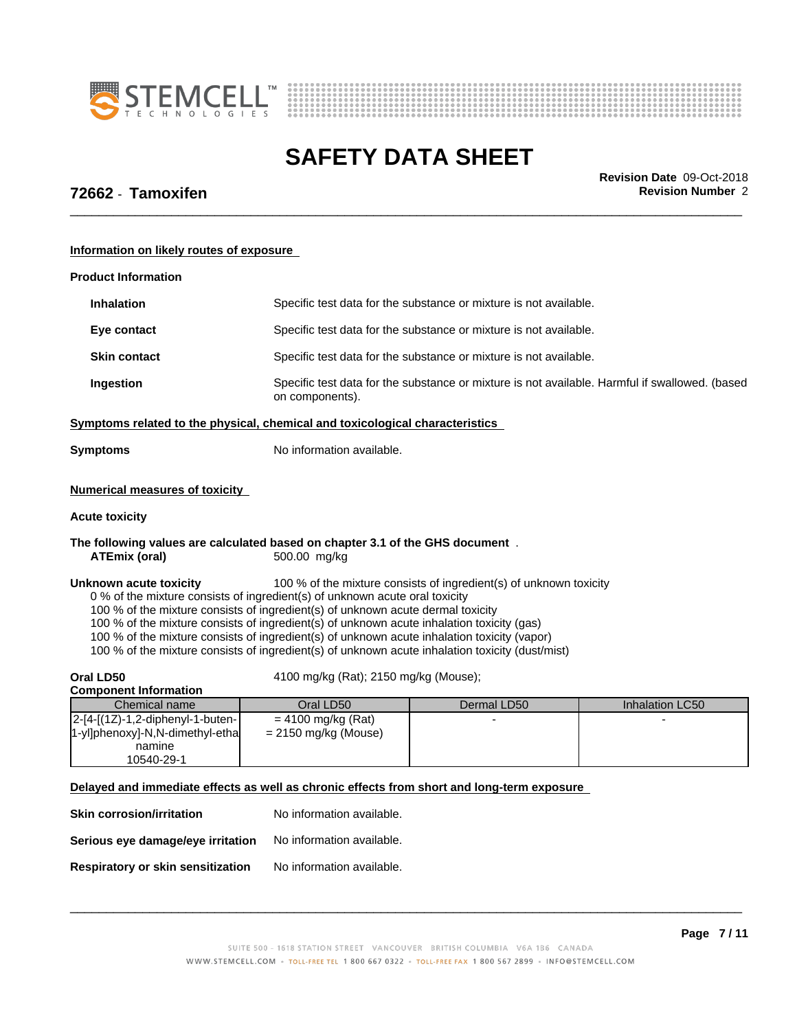



\_\_\_\_\_\_\_\_\_\_\_\_\_\_\_\_\_\_\_\_\_\_\_\_\_\_\_\_\_\_\_\_\_\_\_\_\_\_\_\_\_\_\_\_\_\_\_\_\_\_\_\_\_\_\_\_\_\_\_\_\_\_\_\_\_\_\_\_\_\_\_\_\_\_\_\_\_\_\_\_\_\_\_\_\_\_\_\_\_\_\_\_\_ **Revision Date** 09-Oct-2018

# **72662** - **Tamoxifen Revision Number** 2

**Information on likely routes of exposure**

| <b>Product Information</b>                                                                                                                                                                                                                                                                                                                                                                                                                                                              |                                                |                                                                                                |                 |  |
|-----------------------------------------------------------------------------------------------------------------------------------------------------------------------------------------------------------------------------------------------------------------------------------------------------------------------------------------------------------------------------------------------------------------------------------------------------------------------------------------|------------------------------------------------|------------------------------------------------------------------------------------------------|-----------------|--|
| <b>Inhalation</b>                                                                                                                                                                                                                                                                                                                                                                                                                                                                       |                                                | Specific test data for the substance or mixture is not available.                              |                 |  |
| Eye contact                                                                                                                                                                                                                                                                                                                                                                                                                                                                             |                                                | Specific test data for the substance or mixture is not available.                              |                 |  |
| <b>Skin contact</b>                                                                                                                                                                                                                                                                                                                                                                                                                                                                     |                                                | Specific test data for the substance or mixture is not available.                              |                 |  |
| Ingestion                                                                                                                                                                                                                                                                                                                                                                                                                                                                               | on components).                                | Specific test data for the substance or mixture is not available. Harmful if swallowed. (based |                 |  |
| Symptoms related to the physical, chemical and toxicological characteristics                                                                                                                                                                                                                                                                                                                                                                                                            |                                                |                                                                                                |                 |  |
| <b>Symptoms</b>                                                                                                                                                                                                                                                                                                                                                                                                                                                                         | No information available.                      |                                                                                                |                 |  |
| <b>Numerical measures of toxicity</b>                                                                                                                                                                                                                                                                                                                                                                                                                                                   |                                                |                                                                                                |                 |  |
| <b>Acute toxicity</b>                                                                                                                                                                                                                                                                                                                                                                                                                                                                   |                                                |                                                                                                |                 |  |
| The following values are calculated based on chapter 3.1 of the GHS document.<br><b>ATEmix (oral)</b>                                                                                                                                                                                                                                                                                                                                                                                   | 500.00 mg/kg                                   |                                                                                                |                 |  |
| Unknown acute toxicity<br>0 % of the mixture consists of ingredient(s) of unknown acute oral toxicity<br>100 % of the mixture consists of ingredient(s) of unknown acute dermal toxicity<br>100 % of the mixture consists of ingredient(s) of unknown acute inhalation toxicity (gas)<br>100 % of the mixture consists of ingredient(s) of unknown acute inhalation toxicity (vapor)<br>100 % of the mixture consists of ingredient(s) of unknown acute inhalation toxicity (dust/mist) |                                                | 100 % of the mixture consists of ingredient(s) of unknown toxicity                             |                 |  |
| Oral LD50                                                                                                                                                                                                                                                                                                                                                                                                                                                                               | 4100 mg/kg (Rat); 2150 mg/kg (Mouse);          |                                                                                                |                 |  |
| <b>Component Information</b><br>Chemical name                                                                                                                                                                                                                                                                                                                                                                                                                                           | Oral LD50                                      | Dermal LD50                                                                                    | Inhalation LC50 |  |
| 2-[4-[(1Z)-1,2-diphenyl-1-buten-<br>1-yl]phenoxy]-N,N-dimethyl-etha<br>namine<br>10540-29-1                                                                                                                                                                                                                                                                                                                                                                                             | $= 4100$ mg/kg (Rat)<br>$= 2150$ mg/kg (Mouse) |                                                                                                |                 |  |
| Delayed and immediate effects as well as chronic effects from short and long-term exposure                                                                                                                                                                                                                                                                                                                                                                                              |                                                |                                                                                                |                 |  |
| <b>Skin corrosion/irritation</b>                                                                                                                                                                                                                                                                                                                                                                                                                                                        | No information available.                      |                                                                                                |                 |  |
| Serious eye damage/eye irritation                                                                                                                                                                                                                                                                                                                                                                                                                                                       | No information available.                      |                                                                                                |                 |  |
| Respiratory or skin sensitization                                                                                                                                                                                                                                                                                                                                                                                                                                                       | No information available.                      |                                                                                                |                 |  |
|                                                                                                                                                                                                                                                                                                                                                                                                                                                                                         |                                                |                                                                                                |                 |  |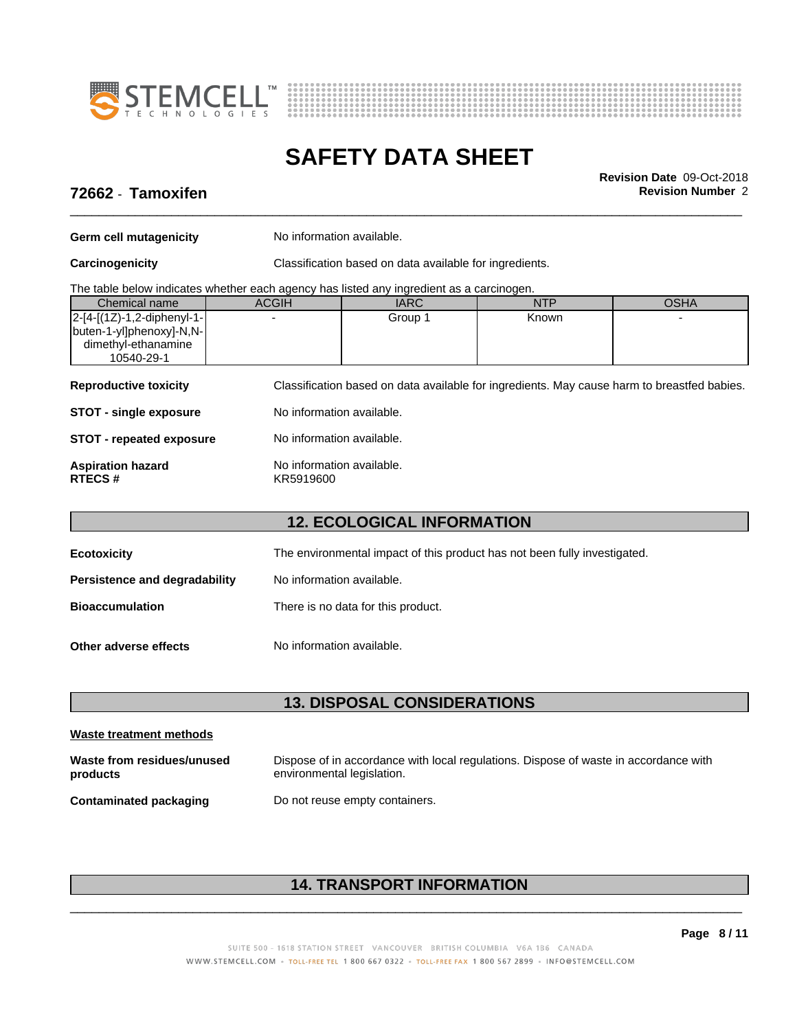



\_\_\_\_\_\_\_\_\_\_\_\_\_\_\_\_\_\_\_\_\_\_\_\_\_\_\_\_\_\_\_\_\_\_\_\_\_\_\_\_\_\_\_\_\_\_\_\_\_\_\_\_\_\_\_\_\_\_\_\_\_\_\_\_\_\_\_\_\_\_\_\_\_\_\_\_\_\_\_\_\_\_\_\_\_\_\_\_\_\_\_\_\_ **Revision Date** 09-Oct-2018

# **72662** - **Tamoxifen Revision Number** 2

**Germ cell mutagenicity** No information available.

**Carcinogenicity** Classification based on data available for ingredients.

| The table below indicates whether each agency has listed any ingredient as a carcinogen. |  |  |
|------------------------------------------------------------------------------------------|--|--|
|                                                                                          |  |  |

| Chemical name                  | <b>ACGIH</b> | <b>IARC</b> | NTP          | OSHA |  |
|--------------------------------|--------------|-------------|--------------|------|--|
| $ 2-[4-[(1Z)-1,2-diphenyl-1-]$ |              | Group 1     | <b>Known</b> |      |  |
| buten-1-yl]phenoxy]-N,N-       |              |             |              |      |  |
| dimethyl-ethanamine            |              |             |              |      |  |
| 10540-29-1                     |              |             |              |      |  |
|                                |              |             |              |      |  |

**Reproductive toxicity** Classification based on data available for ingredients. May cause harm to breastfed babies.

| No information available.<br><b>STOT - single exposure</b> |  |
|------------------------------------------------------------|--|
|------------------------------------------------------------|--|

**STOT** - **repeated exposure** No information available.

### **Aspiration hazard hackup No information available.**<br>RTECS # KR5919600 **RTECS #** KR5919600

# **12. ECOLOGICAL INFORMATION**

| <b>Ecotoxicity</b>            | The environmental impact of this product has not been fully investigated. |
|-------------------------------|---------------------------------------------------------------------------|
| Persistence and degradability | No information available.                                                 |
| <b>Bioaccumulation</b>        | There is no data for this product.                                        |
| Other adverse effects         | No information available.                                                 |

### **13. DISPOSAL CONSIDERATIONS**

| Waste treatment methods                |                                                                                                                    |
|----------------------------------------|--------------------------------------------------------------------------------------------------------------------|
| Waste from residues/unused<br>products | Dispose of in accordance with local regulations. Dispose of waste in accordance with<br>environmental legislation. |
| <b>Contaminated packaging</b>          | Do not reuse empty containers.                                                                                     |

# **14. TRANSPORT INFORMATION**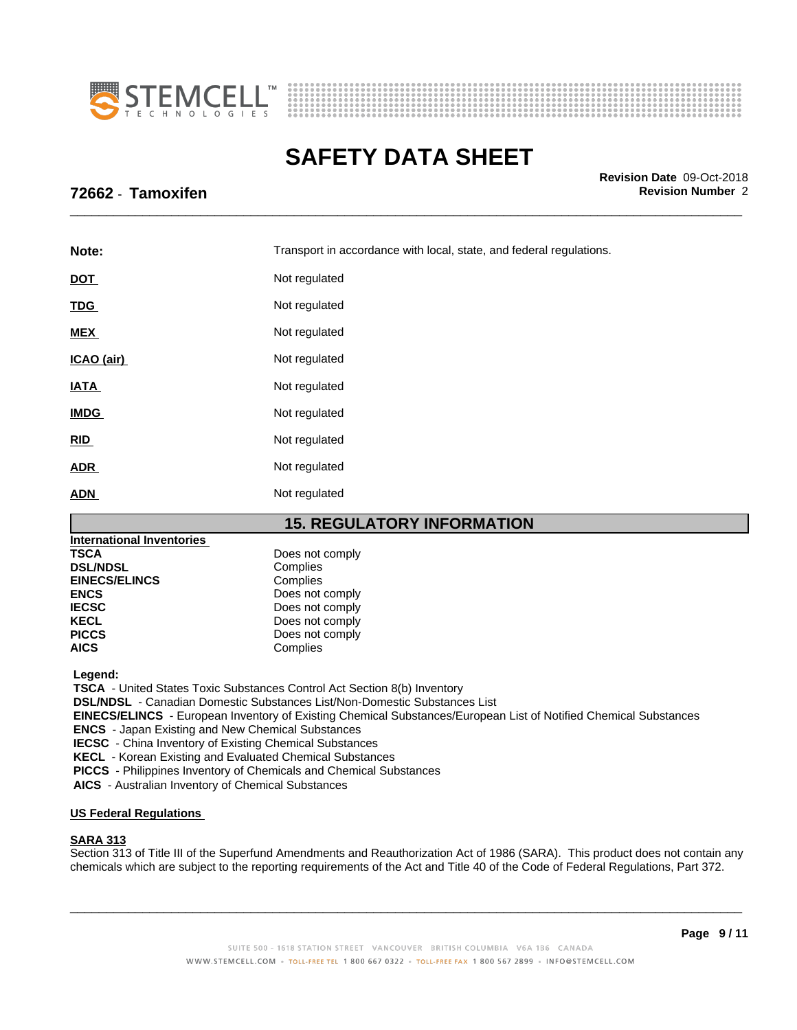



\_\_\_\_\_\_\_\_\_\_\_\_\_\_\_\_\_\_\_\_\_\_\_\_\_\_\_\_\_\_\_\_\_\_\_\_\_\_\_\_\_\_\_\_\_\_\_\_\_\_\_\_\_\_\_\_\_\_\_\_\_\_\_\_\_\_\_\_\_\_\_\_\_\_\_\_\_\_\_\_\_\_\_\_\_\_\_\_\_\_\_\_\_ **Revision Date** 09-Oct-2018

# **72662** - **Tamoxifen Revision Number** 2

| Note:                                                            | Transport in accordance with local, state, and federal regulations. |  |
|------------------------------------------------------------------|---------------------------------------------------------------------|--|
| <b>DOT</b>                                                       | Not regulated                                                       |  |
| <b>TDG</b>                                                       | Not regulated                                                       |  |
| <b>MEX</b>                                                       | Not regulated                                                       |  |
| ICAO (air)                                                       | Not regulated                                                       |  |
| <b>IATA</b>                                                      | Not regulated                                                       |  |
| <b>IMDG</b>                                                      | Not regulated                                                       |  |
| RID                                                              | Not regulated                                                       |  |
| <b>ADR</b>                                                       | Not regulated                                                       |  |
| <b>ADN</b>                                                       | Not regulated                                                       |  |
| <b>15. REGULATORY INFORMATION</b><br>مماءمهميمينها امعماهمعمهمها |                                                                     |  |

| <b>International Inventories</b> |                 |
|----------------------------------|-----------------|
| <b>TSCA</b>                      | Does not comply |
| <b>DSL/NDSL</b>                  | Complies        |
| <b>EINECS/ELINCS</b>             | Complies        |
| <b>ENCS</b>                      | Does not comply |
| <b>IECSC</b>                     | Does not comply |
| <b>KECL</b>                      | Does not comply |
| <b>PICCS</b>                     | Does not comply |
| <b>AICS</b>                      | Complies        |

 **Legend:**

 **TSCA** - United States Toxic Substances Control Act Section 8(b) Inventory

 **DSL/NDSL** - Canadian Domestic Substances List/Non-Domestic Substances List

 **EINECS/ELINCS** - European Inventory of Existing Chemical Substances/European List of Notified Chemical Substances

 **ENCS** - Japan Existing and New Chemical Substances

 **IECSC** - China Inventory of Existing Chemical Substances

 **KECL** - Korean Existing and Evaluated Chemical Substances

 **PICCS** - Philippines Inventory of Chemicals and Chemical Substances

 **AICS** - Australian Inventory of Chemical Substances

#### **US Federal Regulations**

### **SARA 313**

Section 313 of Title III of the Superfund Amendments and Reauthorization Act of 1986 (SARA). This product does not contain any chemicals which are subject to the reporting requirements of the Act and Title 40 of the Code of Federal Regulations, Part 372.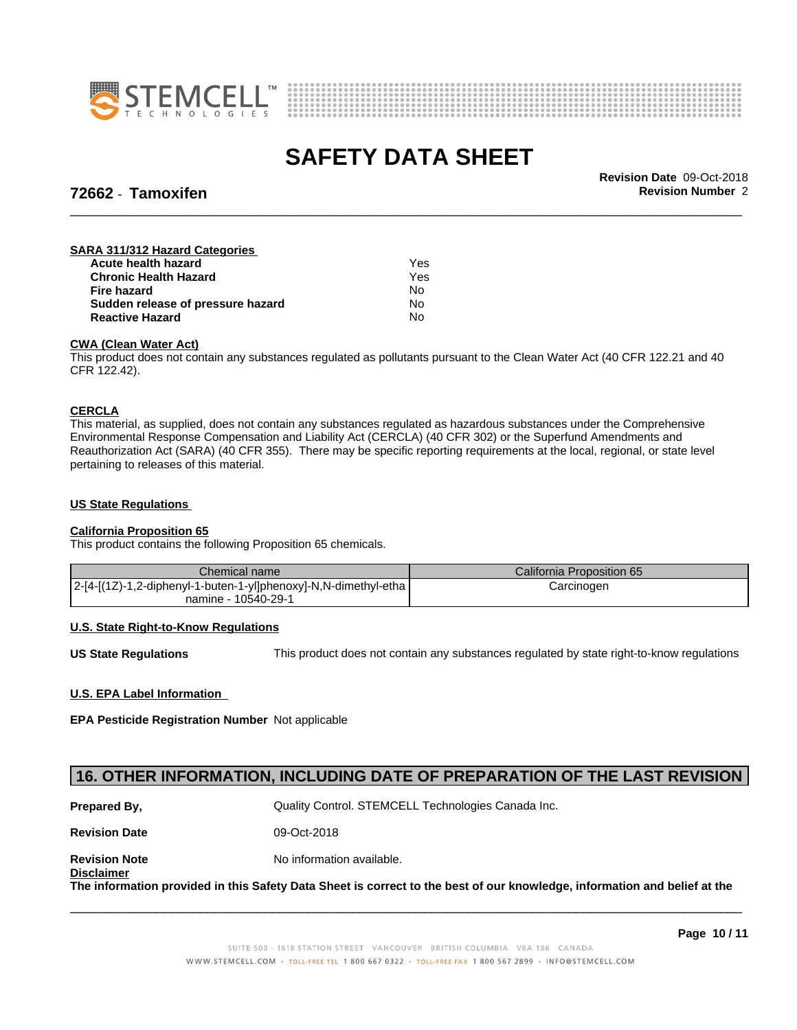



# **72662** - **Tamoxifen Revision Number** 2

\_\_\_\_\_\_\_\_\_\_\_\_\_\_\_\_\_\_\_\_\_\_\_\_\_\_\_\_\_\_\_\_\_\_\_\_\_\_\_\_\_\_\_\_\_\_\_\_\_\_\_\_\_\_\_\_\_\_\_\_\_\_\_\_\_\_\_\_\_\_\_\_\_\_\_\_\_\_\_\_\_\_\_\_\_\_\_\_\_\_\_\_\_ **Revision Date** 09-Oct-2018

### **SARA 311/312 Hazard Categories**

| Acute health hazard               | Yes |
|-----------------------------------|-----|
| <b>Chronic Health Hazard</b>      | Yes |
| Fire hazard                       | N٥  |
| Sudden release of pressure hazard | No  |
| <b>Reactive Hazard</b>            | No  |

### **CWA** (Clean Water Act)

This product does not contain any substances regulated as pollutants pursuant to the Clean Water Act (40 CFR 122.21 and 40 CFR 122.42).

### **CERCLA**

This material, as supplied, does not contain any substances regulated as hazardous substances under the Comprehensive Environmental Response Compensation and Liability Act (CERCLA) (40 CFR 302) or the Superfund Amendments and Reauthorization Act (SARA) (40 CFR 355). There may be specific reporting requirements at the local, regional, or state level pertaining to releases of this material.

#### **US State Regulations**

#### **California Proposition 65**

This product contains the following Proposition 65 chemicals.

| Chemical name                                                     | California Proposition 65 |
|-------------------------------------------------------------------|---------------------------|
| $ 2-[4-[12)-1,2-diphenyl-1-buten-1-y]$ phenoxy]-N,N-dimethyl-etha | Carcinogen                |
| namine - 10540-29-1                                               |                           |

### **U.S. State Right-to-Know Regulations**

**US State Regulations** This product does not contain any substances regulated by state right-to-know regulations

### **U.S. EPA Label Information**

**EPA Pesticide Registration Number** Notapplicable

### **16. OTHER INFORMATION, INCLUDING DATE OF PREPARATION OF THE LAST REVISION**

**Prepared By, State Control. STEMCELL Technologies Canada Inc.** Canada Inc. **Revision Date** 09-Oct-2018 **Revision Note** Noinformation available. **Disclaimer** The information provided in this Safety Data Sheet is correct to the best of our knowledge, information and belief at the